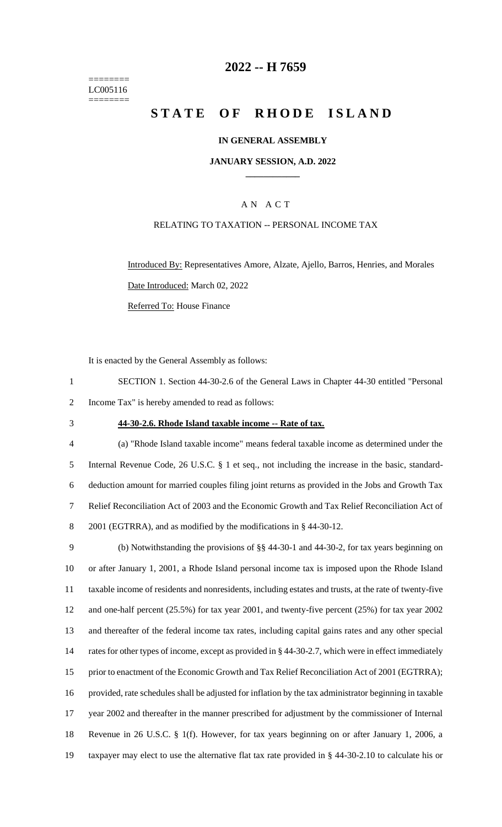======== LC005116 ========

## **2022 -- H 7659**

# **STATE OF RHODE ISLAND**

#### **IN GENERAL ASSEMBLY**

#### **JANUARY SESSION, A.D. 2022 \_\_\_\_\_\_\_\_\_\_\_\_**

### A N A C T

#### RELATING TO TAXATION -- PERSONAL INCOME TAX

Introduced By: Representatives Amore, Alzate, Ajello, Barros, Henries, and Morales Date Introduced: March 02, 2022 Referred To: House Finance

It is enacted by the General Assembly as follows:

- 1 SECTION 1. Section 44-30-2.6 of the General Laws in Chapter 44-30 entitled "Personal 2 Income Tax" is hereby amended to read as follows:
- 

#### 3 **44-30-2.6. Rhode Island taxable income -- Rate of tax.**

 (a) "Rhode Island taxable income" means federal taxable income as determined under the Internal Revenue Code, 26 U.S.C. § 1 et seq., not including the increase in the basic, standard- deduction amount for married couples filing joint returns as provided in the Jobs and Growth Tax Relief Reconciliation Act of 2003 and the Economic Growth and Tax Relief Reconciliation Act of 2001 (EGTRRA), and as modified by the modifications in § 44-30-12.

 (b) Notwithstanding the provisions of §§ 44-30-1 and 44-30-2, for tax years beginning on or after January 1, 2001, a Rhode Island personal income tax is imposed upon the Rhode Island taxable income of residents and nonresidents, including estates and trusts, at the rate of twenty-five and one-half percent (25.5%) for tax year 2001, and twenty-five percent (25%) for tax year 2002 and thereafter of the federal income tax rates, including capital gains rates and any other special 14 rates for other types of income, except as provided in § 44-30-2.7, which were in effect immediately 15 prior to enactment of the Economic Growth and Tax Relief Reconciliation Act of 2001 (EGTRRA); provided, rate schedules shall be adjusted for inflation by the tax administrator beginning in taxable year 2002 and thereafter in the manner prescribed for adjustment by the commissioner of Internal Revenue in 26 U.S.C. § 1(f). However, for tax years beginning on or after January 1, 2006, a taxpayer may elect to use the alternative flat tax rate provided in § 44-30-2.10 to calculate his or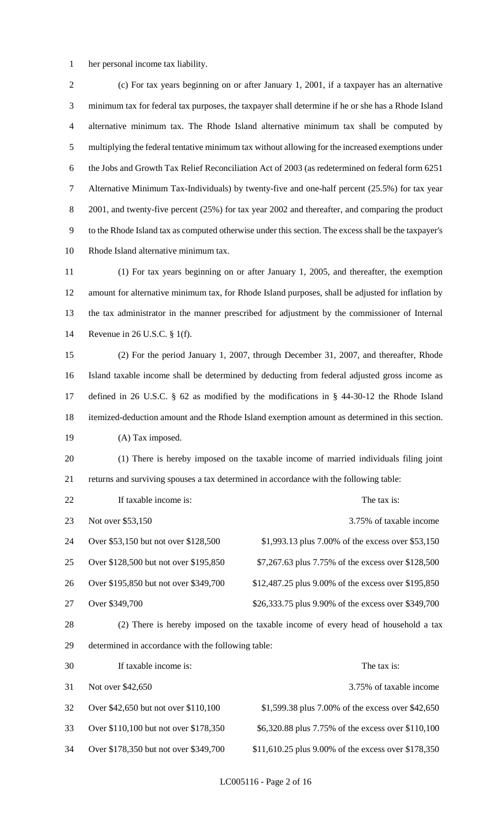her personal income tax liability.

 (c) For tax years beginning on or after January 1, 2001, if a taxpayer has an alternative minimum tax for federal tax purposes, the taxpayer shall determine if he or she has a Rhode Island alternative minimum tax. The Rhode Island alternative minimum tax shall be computed by multiplying the federal tentative minimum tax without allowing for the increased exemptions under the Jobs and Growth Tax Relief Reconciliation Act of 2003 (as redetermined on federal form 6251 Alternative Minimum Tax-Individuals) by twenty-five and one-half percent (25.5%) for tax year 8 2001, and twenty-five percent (25%) for tax year 2002 and thereafter, and comparing the product to the Rhode Island tax as computed otherwise under this section. The excess shall be the taxpayer's Rhode Island alternative minimum tax.

 (1) For tax years beginning on or after January 1, 2005, and thereafter, the exemption amount for alternative minimum tax, for Rhode Island purposes, shall be adjusted for inflation by the tax administrator in the manner prescribed for adjustment by the commissioner of Internal Revenue in 26 U.S.C. § 1(f).

 (2) For the period January 1, 2007, through December 31, 2007, and thereafter, Rhode Island taxable income shall be determined by deducting from federal adjusted gross income as defined in 26 U.S.C. § 62 as modified by the modifications in § 44-30-12 the Rhode Island itemized-deduction amount and the Rhode Island exemption amount as determined in this section. 19 (A) Tax imposed.

 (1) There is hereby imposed on the taxable income of married individuals filing joint returns and surviving spouses a tax determined in accordance with the following table:

| 22 | If taxable income is:                 | The tax is:                                                                              |
|----|---------------------------------------|------------------------------------------------------------------------------------------|
| 23 | Not over \$53,150                     | 3.75% of taxable income                                                                  |
| 24 | Over \$53,150 but not over \$128,500  | \$1,993.13 plus 7.00% of the excess over \$53,150                                        |
| 25 | Over \$128,500 but not over \$195,850 | \$7,267.63 plus 7.75% of the excess over \$128,500                                       |
| 26 | Over \$195,850 but not over \$349,700 | \$12,487.25 plus 9.00% of the excess over \$195,850                                      |
| 27 | Over \$349,700                        | \$26,333.75 plus 9.90% of the excess over \$349,700                                      |
| ററ |                                       | (9) These is beacher increased on the templete income of cream book of beautifuld a text |

 (2) There is hereby imposed on the taxable income of every head of household a tax determined in accordance with the following table:

| 30 | If taxable income is:                 | The tax is:                                         |
|----|---------------------------------------|-----------------------------------------------------|
| 31 | Not over \$42,650                     | 3.75% of taxable income                             |
| 32 | Over \$42,650 but not over \$110,100  | \$1,599.38 plus 7.00% of the excess over \$42,650   |
| 33 | Over \$110,100 but not over \$178,350 | \$6,320.88 plus 7.75% of the excess over \$110,100  |
| 34 | Over \$178,350 but not over \$349,700 | \$11,610.25 plus 9.00% of the excess over \$178,350 |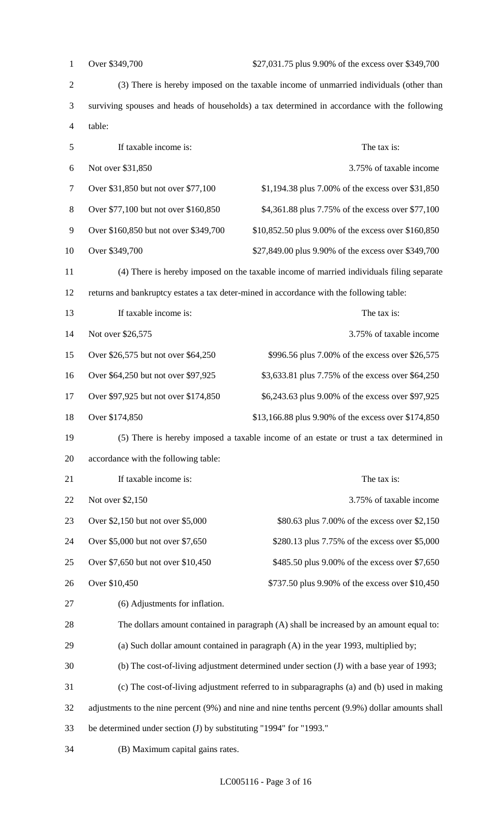| $\mathbf{1}$   | Over \$349,700<br>\$27,031.75 plus 9.90% of the excess over \$349,700                        |                                                                                                   |
|----------------|----------------------------------------------------------------------------------------------|---------------------------------------------------------------------------------------------------|
| $\overline{2}$ | (3) There is hereby imposed on the taxable income of unmarried individuals (other than       |                                                                                                   |
| 3              | surviving spouses and heads of households) a tax determined in accordance with the following |                                                                                                   |
| $\overline{4}$ | table:                                                                                       |                                                                                                   |
| $\mathfrak{S}$ | If taxable income is:                                                                        | The tax is:                                                                                       |
| 6              | Not over \$31,850                                                                            | 3.75% of taxable income                                                                           |
| $\tau$         | Over \$31,850 but not over \$77,100                                                          | \$1,194.38 plus 7.00% of the excess over \$31,850                                                 |
| $8\,$          | Over \$77,100 but not over \$160,850                                                         | \$4,361.88 plus 7.75% of the excess over \$77,100                                                 |
| 9              | Over \$160,850 but not over \$349,700<br>\$10,852.50 plus 9.00% of the excess over \$160,850 |                                                                                                   |
| 10             | Over \$349,700                                                                               | \$27,849.00 plus 9.90% of the excess over \$349,700                                               |
| 11             |                                                                                              | (4) There is hereby imposed on the taxable income of married individuals filing separate          |
| 12             |                                                                                              | returns and bankruptcy estates a tax deter-mined in accordance with the following table:          |
| 13             | If taxable income is:                                                                        | The tax is:                                                                                       |
| 14             | Not over \$26,575                                                                            | 3.75% of taxable income                                                                           |
| 15             | Over \$26,575 but not over \$64,250                                                          | \$996.56 plus 7.00% of the excess over \$26,575                                                   |
| 16             | Over \$64,250 but not over \$97,925                                                          | \$3,633.81 plus 7.75% of the excess over \$64,250                                                 |
| 17             | Over \$97,925 but not over \$174,850                                                         | \$6,243.63 plus 9.00% of the excess over \$97,925                                                 |
| 18             | Over \$174,850                                                                               | \$13,166.88 plus 9.90% of the excess over \$174,850                                               |
| 19             |                                                                                              | (5) There is hereby imposed a taxable income of an estate or trust a tax determined in            |
| 20             | accordance with the following table:                                                         |                                                                                                   |
| 21             | If taxable income is:                                                                        | The tax is:                                                                                       |
| 22             | Not over \$2,150                                                                             | 3.75% of taxable income                                                                           |
| 23             | Over \$2,150 but not over \$5,000                                                            | \$80.63 plus 7.00% of the excess over \$2,150                                                     |
| 24             | Over \$5,000 but not over \$7,650                                                            | \$280.13 plus 7.75% of the excess over \$5,000                                                    |
| 25             | Over \$7,650 but not over \$10,450                                                           | \$485.50 plus 9.00% of the excess over \$7,650                                                    |
| 26             | Over \$10,450                                                                                | \$737.50 plus 9.90% of the excess over \$10,450                                                   |
| 27             | (6) Adjustments for inflation.                                                               |                                                                                                   |
| 28             |                                                                                              | The dollars amount contained in paragraph (A) shall be increased by an amount equal to:           |
| 29             |                                                                                              | (a) Such dollar amount contained in paragraph (A) in the year 1993, multiplied by;                |
|                |                                                                                              |                                                                                                   |
| 30             |                                                                                              | (b) The cost-of-living adjustment determined under section (J) with a base year of 1993;          |
| 31             |                                                                                              | (c) The cost-of-living adjustment referred to in subparagraphs (a) and (b) used in making         |
| 32             |                                                                                              | adjustments to the nine percent (9%) and nine and nine tenths percent (9.9%) dollar amounts shall |
| 33             | be determined under section (J) by substituting "1994" for "1993."                           |                                                                                                   |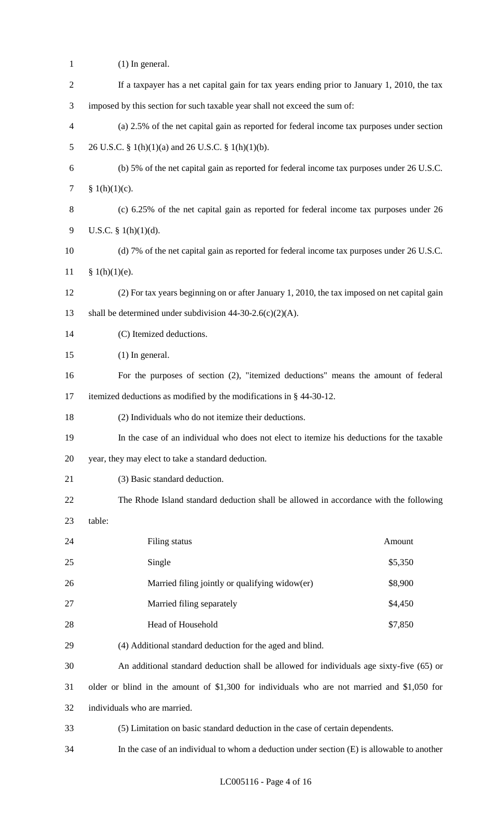| $\mathbf{1}$   | $(1)$ In general.                                                                            |         |
|----------------|----------------------------------------------------------------------------------------------|---------|
| $\overline{2}$ | If a taxpayer has a net capital gain for tax years ending prior to January 1, 2010, the tax  |         |
| 3              | imposed by this section for such taxable year shall not exceed the sum of:                   |         |
| 4              | (a) 2.5% of the net capital gain as reported for federal income tax purposes under section   |         |
| 5              | 26 U.S.C. § 1(h)(1)(a) and 26 U.S.C. § 1(h)(1)(b).                                           |         |
| 6              | (b) 5% of the net capital gain as reported for federal income tax purposes under 26 U.S.C.   |         |
| $\overline{7}$ | § $1(h)(1)(c)$ .                                                                             |         |
| 8              | (c) 6.25% of the net capital gain as reported for federal income tax purposes under 26       |         |
| 9              | U.S.C. $§ 1(h)(1)(d)$ .                                                                      |         |
| 10             | (d) 7% of the net capital gain as reported for federal income tax purposes under 26 U.S.C.   |         |
| 11             | § 1(h)(1)(e).                                                                                |         |
| 12             | (2) For tax years beginning on or after January 1, 2010, the tax imposed on net capital gain |         |
| 13             | shall be determined under subdivision $44-30-2.6(c)(2)(A)$ .                                 |         |
| 14             | (C) Itemized deductions.                                                                     |         |
| 15             | $(1)$ In general.                                                                            |         |
| 16             | For the purposes of section (2), "itemized deductions" means the amount of federal           |         |
| 17             | itemized deductions as modified by the modifications in § 44-30-12.                          |         |
| 18             | (2) Individuals who do not itemize their deductions.                                         |         |
| 19             | In the case of an individual who does not elect to itemize his deductions for the taxable    |         |
| 20             | year, they may elect to take a standard deduction.                                           |         |
| 21             | (3) Basic standard deduction.                                                                |         |
| 22             | The Rhode Island standard deduction shall be allowed in accordance with the following        |         |
| 23             | table:                                                                                       |         |
| 24             | Filing status                                                                                | Amount  |
| 25             | Single                                                                                       | \$5,350 |
| 26             | Married filing jointly or qualifying widow(er)                                               | \$8,900 |
| 27             | Married filing separately                                                                    | \$4,450 |
| 28             | Head of Household                                                                            | \$7,850 |
| 29             | (4) Additional standard deduction for the aged and blind.                                    |         |
| 30             | An additional standard deduction shall be allowed for individuals age sixty-five (65) or     |         |
| 31             | older or blind in the amount of \$1,300 for individuals who are not married and \$1,050 for  |         |
| 32             | individuals who are married.                                                                 |         |
| 33             | (5) Limitation on basic standard deduction in the case of certain dependents.                |         |
| 34             | In the case of an individual to whom a deduction under section (E) is allowable to another   |         |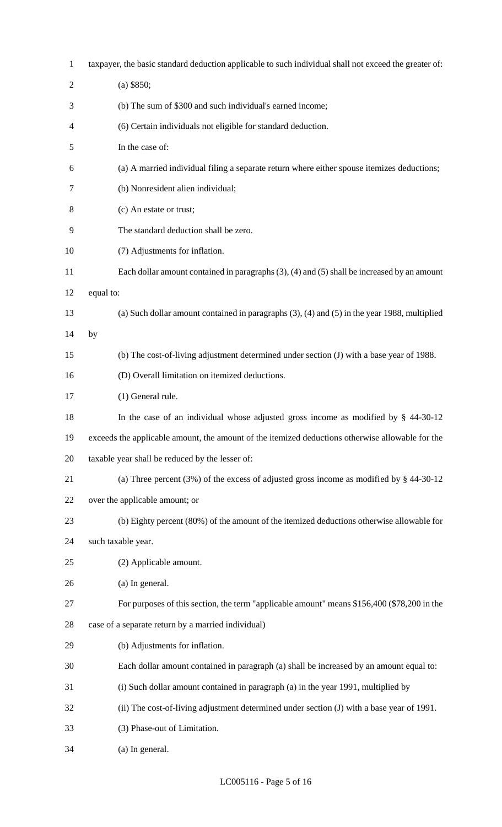| $\mathbf{1}$   | taxpayer, the basic standard deduction applicable to such individual shall not exceed the greater of: |
|----------------|-------------------------------------------------------------------------------------------------------|
| $\overline{2}$ | $(a)$ \$850;                                                                                          |
| 3              | (b) The sum of \$300 and such individual's earned income;                                             |
| 4              | (6) Certain individuals not eligible for standard deduction.                                          |
| 5              | In the case of:                                                                                       |
| 6              | (a) A married individual filing a separate return where either spouse itemizes deductions;            |
| 7              | (b) Nonresident alien individual;                                                                     |
| 8              | (c) An estate or trust;                                                                               |
| 9              | The standard deduction shall be zero.                                                                 |
| 10             | (7) Adjustments for inflation.                                                                        |
| 11             | Each dollar amount contained in paragraphs $(3)$ , $(4)$ and $(5)$ shall be increased by an amount    |
| 12             | equal to:                                                                                             |
| 13             | (a) Such dollar amount contained in paragraphs $(3)$ , $(4)$ and $(5)$ in the year 1988, multiplied   |
| 14             | by                                                                                                    |
| 15             | (b) The cost-of-living adjustment determined under section (J) with a base year of 1988.              |
| 16             | (D) Overall limitation on itemized deductions.                                                        |
| 17             | (1) General rule.                                                                                     |
| 18             | In the case of an individual whose adjusted gross income as modified by $\S$ 44-30-12                 |
| 19             | exceeds the applicable amount, the amount of the itemized deductions otherwise allowable for the      |
| 20             | taxable year shall be reduced by the lesser of:                                                       |
| 21             | (a) Three percent $(3\%)$ of the excess of adjusted gross income as modified by § 44-30-12            |
| 22             | over the applicable amount; or                                                                        |
| 23             | (b) Eighty percent (80%) of the amount of the itemized deductions otherwise allowable for             |
| 24             | such taxable year.                                                                                    |
| 25             | (2) Applicable amount.                                                                                |
| 26             | (a) In general.                                                                                       |
| 27             | For purposes of this section, the term "applicable amount" means \$156,400 (\$78,200 in the           |
| 28             | case of a separate return by a married individual)                                                    |
| 29             | (b) Adjustments for inflation.                                                                        |
| 30             | Each dollar amount contained in paragraph (a) shall be increased by an amount equal to:               |
| 31             | (i) Such dollar amount contained in paragraph (a) in the year 1991, multiplied by                     |
| 32             | (ii) The cost-of-living adjustment determined under section (J) with a base year of 1991.             |
| 33             | (3) Phase-out of Limitation.                                                                          |
| 34             | (a) In general.                                                                                       |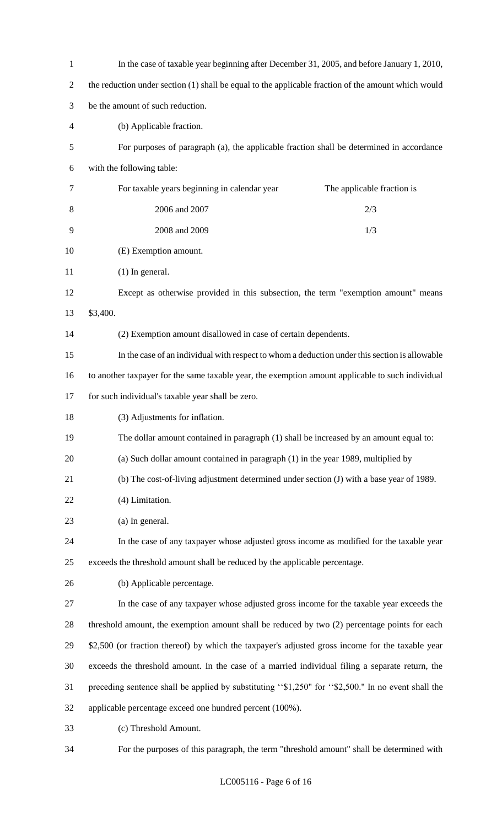| $\mathbf{1}$   | In the case of taxable year beginning after December 31, 2005, and before January 1, 2010,          |  |  |
|----------------|-----------------------------------------------------------------------------------------------------|--|--|
| $\overline{2}$ | the reduction under section (1) shall be equal to the applicable fraction of the amount which would |  |  |
| 3              | be the amount of such reduction.                                                                    |  |  |
| 4              | (b) Applicable fraction.                                                                            |  |  |
| 5              | For purposes of paragraph (a), the applicable fraction shall be determined in accordance            |  |  |
| 6              | with the following table:                                                                           |  |  |
| 7              | For taxable years beginning in calendar year<br>The applicable fraction is                          |  |  |
| 8              | 2006 and 2007<br>2/3                                                                                |  |  |
| 9              | 2008 and 2009<br>1/3                                                                                |  |  |
| 10             | (E) Exemption amount.                                                                               |  |  |
| 11             | $(1)$ In general.                                                                                   |  |  |
| 12             | Except as otherwise provided in this subsection, the term "exemption amount" means                  |  |  |
| 13             | \$3,400.                                                                                            |  |  |
| 14             | (2) Exemption amount disallowed in case of certain dependents.                                      |  |  |
| 15             | In the case of an individual with respect to whom a deduction under this section is allowable       |  |  |
| 16             | to another taxpayer for the same taxable year, the exemption amount applicable to such individual   |  |  |
| 17             | for such individual's taxable year shall be zero.                                                   |  |  |
| 18             | (3) Adjustments for inflation.                                                                      |  |  |
| 19             | The dollar amount contained in paragraph (1) shall be increased by an amount equal to:              |  |  |
| 20             | (a) Such dollar amount contained in paragraph (1) in the year 1989, multiplied by                   |  |  |
| 21             | (b) The cost-of-living adjustment determined under section (J) with a base year of 1989.            |  |  |
| 22             | (4) Limitation.                                                                                     |  |  |
| 23             | (a) In general.                                                                                     |  |  |
| 24             | In the case of any taxpayer whose adjusted gross income as modified for the taxable year            |  |  |
| 25             | exceeds the threshold amount shall be reduced by the applicable percentage.                         |  |  |
| 26             | (b) Applicable percentage.                                                                          |  |  |
| 27             | In the case of any taxpayer whose adjusted gross income for the taxable year exceeds the            |  |  |
| 28             | threshold amount, the exemption amount shall be reduced by two (2) percentage points for each       |  |  |
| 29             | \$2,500 (or fraction thereof) by which the taxpayer's adjusted gross income for the taxable year    |  |  |
| 30             | exceeds the threshold amount. In the case of a married individual filing a separate return, the     |  |  |
| 31             | preceding sentence shall be applied by substituting "\$1,250" for "\$2,500." In no event shall the  |  |  |
| 32             | applicable percentage exceed one hundred percent (100%).                                            |  |  |
| 33             | (c) Threshold Amount.                                                                               |  |  |
|                |                                                                                                     |  |  |

For the purposes of this paragraph, the term "threshold amount" shall be determined with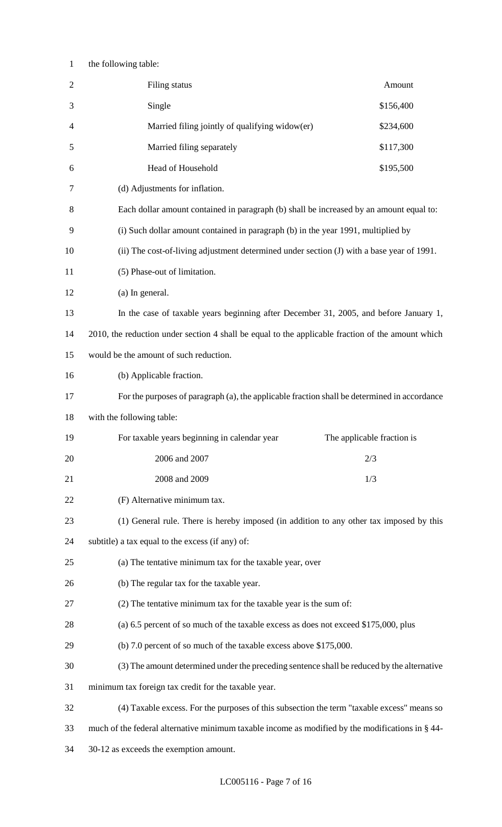## the following table:

| $\sqrt{2}$ | Filing status                                                                                     | Amount                     |
|------------|---------------------------------------------------------------------------------------------------|----------------------------|
| 3          | Single                                                                                            | \$156,400                  |
| 4          | Married filing jointly of qualifying widow(er)                                                    | \$234,600                  |
| 5          | Married filing separately                                                                         | \$117,300                  |
| 6          | Head of Household                                                                                 | \$195,500                  |
| 7          | (d) Adjustments for inflation.                                                                    |                            |
| 8          | Each dollar amount contained in paragraph (b) shall be increased by an amount equal to:           |                            |
| 9          | (i) Such dollar amount contained in paragraph (b) in the year 1991, multiplied by                 |                            |
| 10         | (ii) The cost-of-living adjustment determined under section (J) with a base year of 1991.         |                            |
| 11         | (5) Phase-out of limitation.                                                                      |                            |
| 12         | (a) In general.                                                                                   |                            |
| 13         | In the case of taxable years beginning after December 31, 2005, and before January 1,             |                            |
| 14         | 2010, the reduction under section 4 shall be equal to the applicable fraction of the amount which |                            |
| 15         | would be the amount of such reduction.                                                            |                            |
| 16         | (b) Applicable fraction.                                                                          |                            |
| 17         | For the purposes of paragraph (a), the applicable fraction shall be determined in accordance      |                            |
| 18         | with the following table:                                                                         |                            |
|            |                                                                                                   |                            |
| 19         | For taxable years beginning in calendar year                                                      | The applicable fraction is |
| 20         | 2006 and 2007                                                                                     | 2/3                        |
| 21         | 2008 and 2009                                                                                     | 1/3                        |
| 22         | (F) Alternative minimum tax.                                                                      |                            |
| 23         | (1) General rule. There is hereby imposed (in addition to any other tax imposed by this           |                            |
| 24         | subtitle) a tax equal to the excess (if any) of:                                                  |                            |
| 25         | (a) The tentative minimum tax for the taxable year, over                                          |                            |
| 26         | (b) The regular tax for the taxable year.                                                         |                            |
| 27         | (2) The tentative minimum tax for the taxable year is the sum of:                                 |                            |
| 28         | (a) 6.5 percent of so much of the taxable excess as does not exceed \$175,000, plus               |                            |
| 29         | (b) 7.0 percent of so much of the taxable excess above \$175,000.                                 |                            |
| 30         | (3) The amount determined under the preceding sentence shall be reduced by the alternative        |                            |
| 31         | minimum tax foreign tax credit for the taxable year.                                              |                            |
| 32         | (4) Taxable excess. For the purposes of this subsection the term "taxable excess" means so        |                            |
| 33         | much of the federal alternative minimum taxable income as modified by the modifications in § 44-  |                            |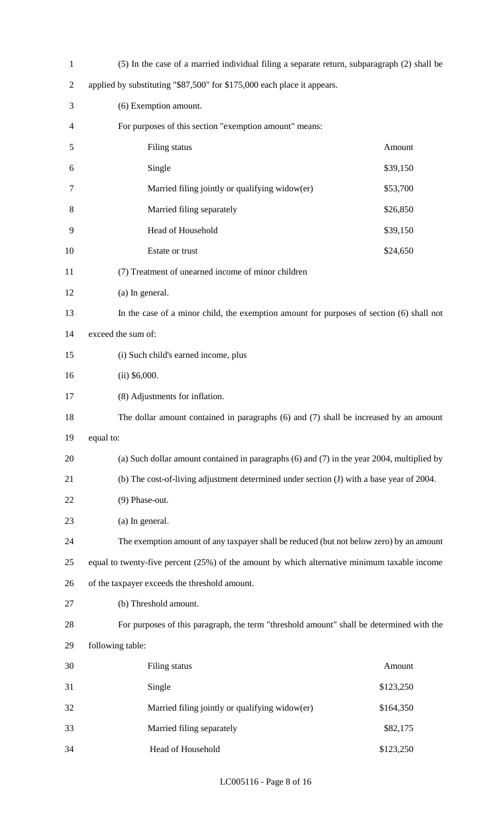| $\mathbf{1}$   | (5) In the case of a married individual filing a separate return, subparagraph (2) shall be    |           |
|----------------|------------------------------------------------------------------------------------------------|-----------|
| $\overline{2}$ | applied by substituting "\$87,500" for \$175,000 each place it appears.                        |           |
| 3              | (6) Exemption amount.                                                                          |           |
| 4              | For purposes of this section "exemption amount" means:                                         |           |
| 5              | Filing status                                                                                  | Amount    |
| 6              | Single                                                                                         | \$39,150  |
| 7              | Married filing jointly or qualifying widow(er)                                                 | \$53,700  |
| 8              | Married filing separately                                                                      | \$26,850  |
| 9              | Head of Household                                                                              | \$39,150  |
| 10             | Estate or trust                                                                                | \$24,650  |
| 11             | (7) Treatment of unearned income of minor children                                             |           |
| 12             | (a) In general.                                                                                |           |
| 13             | In the case of a minor child, the exemption amount for purposes of section (6) shall not       |           |
| 14             | exceed the sum of:                                                                             |           |
| 15             | (i) Such child's earned income, plus                                                           |           |
| 16             | $(ii)$ \$6,000.                                                                                |           |
| 17             | (8) Adjustments for inflation.                                                                 |           |
| 18             | The dollar amount contained in paragraphs (6) and (7) shall be increased by an amount          |           |
| 19             | equal to:                                                                                      |           |
| 20             | (a) Such dollar amount contained in paragraphs $(6)$ and $(7)$ in the year 2004, multiplied by |           |
| 21             | (b) The cost-of-living adjustment determined under section (J) with a base year of 2004.       |           |
| 22             | (9) Phase-out.                                                                                 |           |
| 23             | (a) In general.                                                                                |           |
| 24             | The exemption amount of any taxpayer shall be reduced (but not below zero) by an amount        |           |
| 25             | equal to twenty-five percent (25%) of the amount by which alternative minimum taxable income   |           |
| 26             | of the taxpayer exceeds the threshold amount.                                                  |           |
| 27             | (b) Threshold amount.                                                                          |           |
| 28             | For purposes of this paragraph, the term "threshold amount" shall be determined with the       |           |
| 29             | following table:                                                                               |           |
| 30             | Filing status                                                                                  | Amount    |
| 31             | Single                                                                                         | \$123,250 |
| 32             | Married filing jointly or qualifying widow(er)                                                 | \$164,350 |
| 33             | Married filing separately                                                                      | \$82,175  |
| 34             | Head of Household                                                                              | \$123,250 |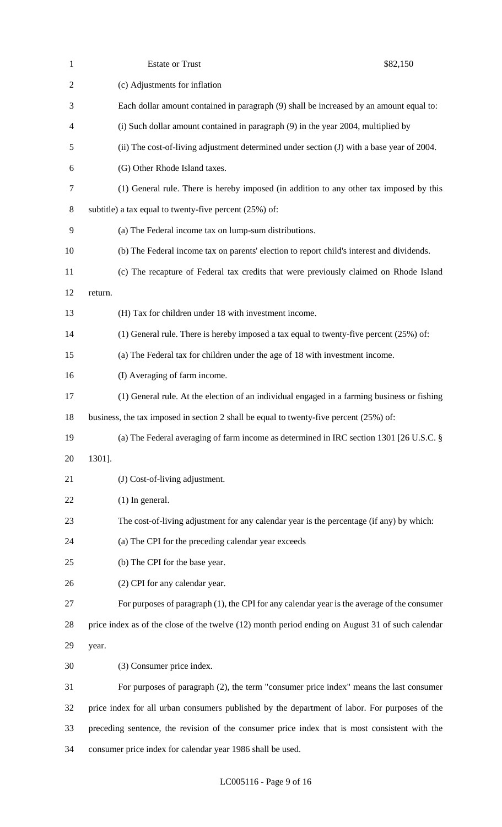| $\mathbf{1}$   | <b>Estate or Trust</b>                                                                           | \$82,150 |
|----------------|--------------------------------------------------------------------------------------------------|----------|
| $\overline{2}$ | (c) Adjustments for inflation                                                                    |          |
| 3              | Each dollar amount contained in paragraph (9) shall be increased by an amount equal to:          |          |
| $\overline{4}$ | (i) Such dollar amount contained in paragraph (9) in the year 2004, multiplied by                |          |
| 5              | (ii) The cost-of-living adjustment determined under section (J) with a base year of 2004.        |          |
| 6              | (G) Other Rhode Island taxes.                                                                    |          |
| $\tau$         | (1) General rule. There is hereby imposed (in addition to any other tax imposed by this          |          |
| 8              | subtitle) a tax equal to twenty-five percent $(25%)$ of:                                         |          |
| 9              | (a) The Federal income tax on lump-sum distributions.                                            |          |
| 10             | (b) The Federal income tax on parents' election to report child's interest and dividends.        |          |
| 11             | (c) The recapture of Federal tax credits that were previously claimed on Rhode Island            |          |
| 12             | return.                                                                                          |          |
| 13             | (H) Tax for children under 18 with investment income.                                            |          |
| 14             | (1) General rule. There is hereby imposed a tax equal to twenty-five percent $(25%)$ of:         |          |
| 15             | (a) The Federal tax for children under the age of 18 with investment income.                     |          |
| 16             | (I) Averaging of farm income.                                                                    |          |
| 17             | (1) General rule. At the election of an individual engaged in a farming business or fishing      |          |
| 18             | business, the tax imposed in section 2 shall be equal to twenty-five percent $(25\%)$ of:        |          |
| 19             | (a) The Federal averaging of farm income as determined in IRC section 1301 [26 U.S.C. §          |          |
| 20             | 1301].                                                                                           |          |
| 21             | (J) Cost-of-living adjustment.                                                                   |          |
| 22             | $(1)$ In general.                                                                                |          |
| 23             | The cost-of-living adjustment for any calendar year is the percentage (if any) by which:         |          |
| 24             | (a) The CPI for the preceding calendar year exceeds                                              |          |
| 25             | (b) The CPI for the base year.                                                                   |          |
| 26             | (2) CPI for any calendar year.                                                                   |          |
| 27             | For purposes of paragraph (1), the CPI for any calendar year is the average of the consumer      |          |
| 28             | price index as of the close of the twelve (12) month period ending on August 31 of such calendar |          |
| 29             | year.                                                                                            |          |
| 30             | (3) Consumer price index.                                                                        |          |
| 31             | For purposes of paragraph $(2)$ , the term "consumer price index" means the last consumer        |          |
| 32             | price index for all urban consumers published by the department of labor. For purposes of the    |          |
| 33             | preceding sentence, the revision of the consumer price index that is most consistent with the    |          |
| 34             | consumer price index for calendar year 1986 shall be used.                                       |          |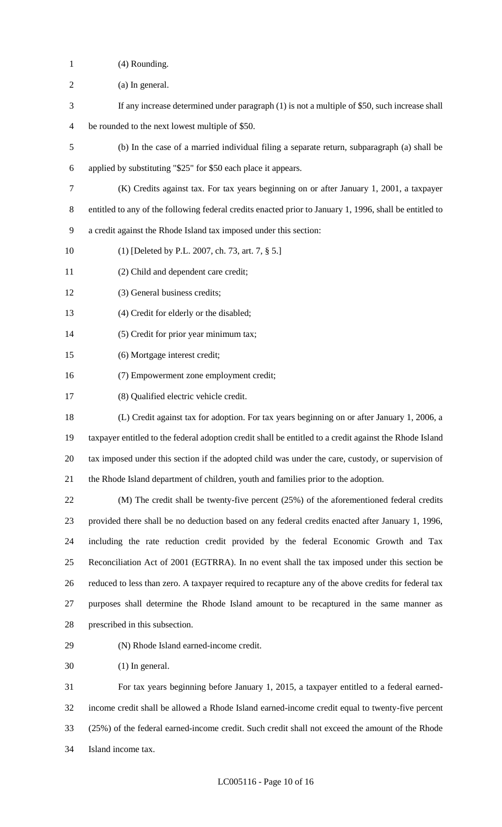- (4) Rounding.
- (a) In general.
- If any increase determined under paragraph (1) is not a multiple of \$50, such increase shall
- be rounded to the next lowest multiple of \$50.
- (b) In the case of a married individual filing a separate return, subparagraph (a) shall be
- applied by substituting "\$25" for \$50 each place it appears.
- (K) Credits against tax. For tax years beginning on or after January 1, 2001, a taxpayer
- entitled to any of the following federal credits enacted prior to January 1, 1996, shall be entitled to
- a credit against the Rhode Island tax imposed under this section:
- (1) [Deleted by P.L. 2007, ch. 73, art. 7, § 5.]
- (2) Child and dependent care credit;
- (3) General business credits;
- (4) Credit for elderly or the disabled;
- (5) Credit for prior year minimum tax;
- (6) Mortgage interest credit;
- (7) Empowerment zone employment credit;
- (8) Qualified electric vehicle credit.
- (L) Credit against tax for adoption. For tax years beginning on or after January 1, 2006, a taxpayer entitled to the federal adoption credit shall be entitled to a credit against the Rhode Island tax imposed under this section if the adopted child was under the care, custody, or supervision of the Rhode Island department of children, youth and families prior to the adoption.

 (M) The credit shall be twenty-five percent (25%) of the aforementioned federal credits provided there shall be no deduction based on any federal credits enacted after January 1, 1996, including the rate reduction credit provided by the federal Economic Growth and Tax Reconciliation Act of 2001 (EGTRRA). In no event shall the tax imposed under this section be reduced to less than zero. A taxpayer required to recapture any of the above credits for federal tax purposes shall determine the Rhode Island amount to be recaptured in the same manner as prescribed in this subsection.

(N) Rhode Island earned-income credit.

(1) In general.

 For tax years beginning before January 1, 2015, a taxpayer entitled to a federal earned- income credit shall be allowed a Rhode Island earned-income credit equal to twenty-five percent (25%) of the federal earned-income credit. Such credit shall not exceed the amount of the Rhode Island income tax.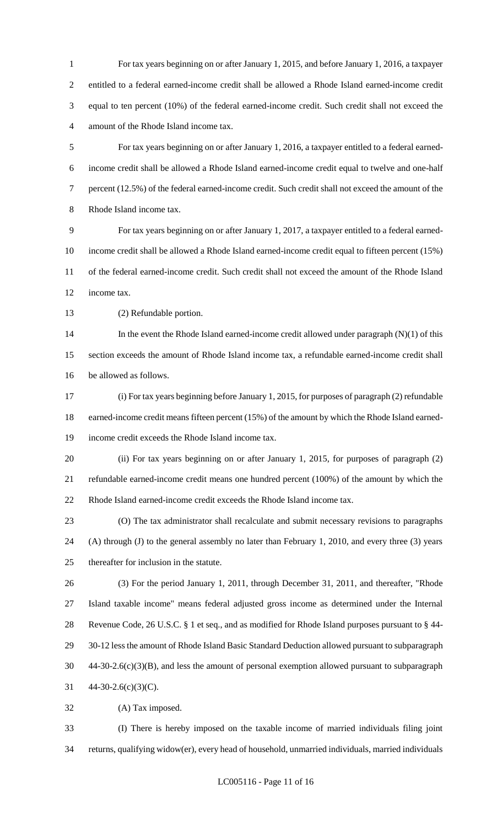For tax years beginning on or after January 1, 2015, and before January 1, 2016, a taxpayer entitled to a federal earned-income credit shall be allowed a Rhode Island earned-income credit equal to ten percent (10%) of the federal earned-income credit. Such credit shall not exceed the amount of the Rhode Island income tax.

 For tax years beginning on or after January 1, 2016, a taxpayer entitled to a federal earned- income credit shall be allowed a Rhode Island earned-income credit equal to twelve and one-half percent (12.5%) of the federal earned-income credit. Such credit shall not exceed the amount of the Rhode Island income tax.

 For tax years beginning on or after January 1, 2017, a taxpayer entitled to a federal earned- income credit shall be allowed a Rhode Island earned-income credit equal to fifteen percent (15%) of the federal earned-income credit. Such credit shall not exceed the amount of the Rhode Island income tax.

(2) Refundable portion.

 In the event the Rhode Island earned-income credit allowed under paragraph (N)(1) of this section exceeds the amount of Rhode Island income tax, a refundable earned-income credit shall be allowed as follows.

 (i) For tax years beginning before January 1, 2015, for purposes of paragraph (2) refundable earned-income credit means fifteen percent (15%) of the amount by which the Rhode Island earned-income credit exceeds the Rhode Island income tax.

 (ii) For tax years beginning on or after January 1, 2015, for purposes of paragraph (2) refundable earned-income credit means one hundred percent (100%) of the amount by which the Rhode Island earned-income credit exceeds the Rhode Island income tax.

 (O) The tax administrator shall recalculate and submit necessary revisions to paragraphs (A) through (J) to the general assembly no later than February 1, 2010, and every three (3) years thereafter for inclusion in the statute.

 (3) For the period January 1, 2011, through December 31, 2011, and thereafter, "Rhode Island taxable income" means federal adjusted gross income as determined under the Internal Revenue Code, 26 U.S.C. § 1 et seq., and as modified for Rhode Island purposes pursuant to § 44- 30-12 less the amount of Rhode Island Basic Standard Deduction allowed pursuant to subparagraph 44-30-2.6(c)(3)(B), and less the amount of personal exemption allowed pursuant to subparagraph 44-30-2.6(c)(3)(C).

(A) Tax imposed.

 (I) There is hereby imposed on the taxable income of married individuals filing joint returns, qualifying widow(er), every head of household, unmarried individuals, married individuals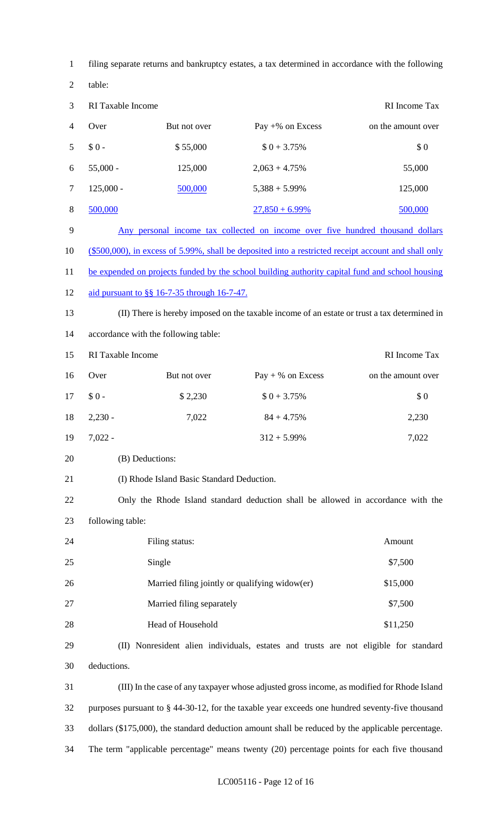| $\mathbf{1}$   | filing separate returns and bankruptcy estates, a tax determined in accordance with the following |                                                |                                                                                                      |                    |
|----------------|---------------------------------------------------------------------------------------------------|------------------------------------------------|------------------------------------------------------------------------------------------------------|--------------------|
| $\mathfrak{2}$ | table:                                                                                            |                                                |                                                                                                      |                    |
| $\mathfrak{Z}$ | RI Taxable Income                                                                                 |                                                |                                                                                                      | RI Income Tax      |
| $\overline{4}$ | Over                                                                                              | But not over                                   | Pay $+$ % on Excess                                                                                  | on the amount over |
| 5              | $$0-$                                                                                             | \$55,000                                       | $$0 + 3.75\%$                                                                                        | \$0                |
| 6              | $55,000 -$                                                                                        | 125,000                                        | $2,063 + 4.75\%$                                                                                     | 55,000             |
| $\tau$         | $125,000 -$                                                                                       | 500,000                                        | $5,388 + 5.99\%$                                                                                     | 125,000            |
| $8\,$          | 500,000                                                                                           |                                                | $27,850 + 6.99\%$                                                                                    | 500,000            |
| 9              |                                                                                                   |                                                | Any personal income tax collected on income over five hundred thousand dollars                       |                    |
| 10             |                                                                                                   |                                                | (\$500,000), in excess of 5.99%, shall be deposited into a restricted receipt account and shall only |                    |
| 11             |                                                                                                   |                                                | be expended on projects funded by the school building authority capital fund and school housing      |                    |
| 12             |                                                                                                   | aid pursuant to §§ 16-7-35 through 16-7-47.    |                                                                                                      |                    |
| 13             |                                                                                                   |                                                | (II) There is hereby imposed on the taxable income of an estate or trust a tax determined in         |                    |
| 14             |                                                                                                   | accordance with the following table:           |                                                                                                      |                    |
| 15             | RI Taxable Income                                                                                 |                                                |                                                                                                      | RI Income Tax      |
| 16             | Over                                                                                              | But not over                                   | $Pay + % on Excess$                                                                                  | on the amount over |
| 17             | $$0-$                                                                                             | \$2,230                                        | $$0 + 3.75\%$                                                                                        | \$0                |
| 18             | $2,230 -$                                                                                         | 7,022                                          | $84 + 4.75%$                                                                                         | 2,230              |
| 19             | $7,022 -$                                                                                         |                                                | $312 + 5.99\%$                                                                                       | 7,022              |
| 20             | (B) Deductions:                                                                                   |                                                |                                                                                                      |                    |
| 21             |                                                                                                   | (I) Rhode Island Basic Standard Deduction.     |                                                                                                      |                    |
| 22             |                                                                                                   |                                                | Only the Rhode Island standard deduction shall be allowed in accordance with the                     |                    |
| 23             | following table:                                                                                  |                                                |                                                                                                      |                    |
| 24             |                                                                                                   | Filing status:                                 |                                                                                                      | Amount             |
| 25             |                                                                                                   | Single                                         |                                                                                                      | \$7,500            |
| 26             |                                                                                                   | Married filing jointly or qualifying widow(er) |                                                                                                      | \$15,000           |
| 27             |                                                                                                   | Married filing separately                      |                                                                                                      | \$7,500            |
| 28             |                                                                                                   | Head of Household                              |                                                                                                      | \$11,250           |
| 29             |                                                                                                   |                                                | (II) Nonresident alien individuals, estates and trusts are not eligible for standard                 |                    |
| 30             | deductions.                                                                                       |                                                |                                                                                                      |                    |
| 31             |                                                                                                   |                                                | (III) In the case of any taxpayer whose adjusted gross income, as modified for Rhode Island          |                    |
| 32             |                                                                                                   |                                                | purposes pursuant to § 44-30-12, for the taxable year exceeds one hundred seventy-five thousand      |                    |
| 33             |                                                                                                   |                                                | dollars (\$175,000), the standard deduction amount shall be reduced by the applicable percentage.    |                    |
| 34             |                                                                                                   |                                                | The term "applicable percentage" means twenty (20) percentage points for each five thousand          |                    |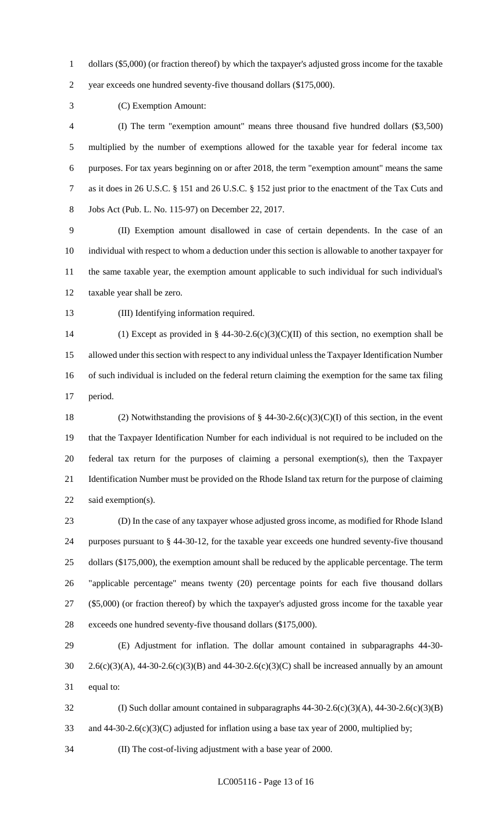dollars (\$5,000) (or fraction thereof) by which the taxpayer's adjusted gross income for the taxable

year exceeds one hundred seventy-five thousand dollars (\$175,000).

(C) Exemption Amount:

 (I) The term "exemption amount" means three thousand five hundred dollars (\$3,500) multiplied by the number of exemptions allowed for the taxable year for federal income tax purposes. For tax years beginning on or after 2018, the term "exemption amount" means the same as it does in 26 U.S.C. § 151 and 26 U.S.C. § 152 just prior to the enactment of the Tax Cuts and Jobs Act (Pub. L. No. 115-97) on December 22, 2017.

 (II) Exemption amount disallowed in case of certain dependents. In the case of an individual with respect to whom a deduction under this section is allowable to another taxpayer for the same taxable year, the exemption amount applicable to such individual for such individual's taxable year shall be zero.

(III) Identifying information required.

14 (1) Except as provided in § 44-30-2.6(c)(3)(C)(II) of this section, no exemption shall be allowed under this section with respect to any individual unless the Taxpayer Identification Number of such individual is included on the federal return claiming the exemption for the same tax filing period.

18 (2) Notwithstanding the provisions of  $\S$  44-30-2.6(c)(3)(C)(I) of this section, in the event that the Taxpayer Identification Number for each individual is not required to be included on the federal tax return for the purposes of claiming a personal exemption(s), then the Taxpayer Identification Number must be provided on the Rhode Island tax return for the purpose of claiming 22 said exemption(s).

 (D) In the case of any taxpayer whose adjusted gross income, as modified for Rhode Island purposes pursuant to § 44-30-12, for the taxable year exceeds one hundred seventy-five thousand 25 dollars (\$175,000), the exemption amount shall be reduced by the applicable percentage. The term "applicable percentage" means twenty (20) percentage points for each five thousand dollars (\$5,000) (or fraction thereof) by which the taxpayer's adjusted gross income for the taxable year exceeds one hundred seventy-five thousand dollars (\$175,000).

 (E) Adjustment for inflation. The dollar amount contained in subparagraphs 44-30- 2.6(c)(3)(A), 44-30-2.6(c)(3)(B) and 44-30-2.6(c)(3)(C) shall be increased annually by an amount equal to:

 (I) Such dollar amount contained in subparagraphs 44-30-2.6(c)(3)(A), 44-30-2.6(c)(3)(B) 33 and 44-30-2.6(c)(3)(C) adjusted for inflation using a base tax year of 2000, multiplied by;

(II) The cost-of-living adjustment with a base year of 2000.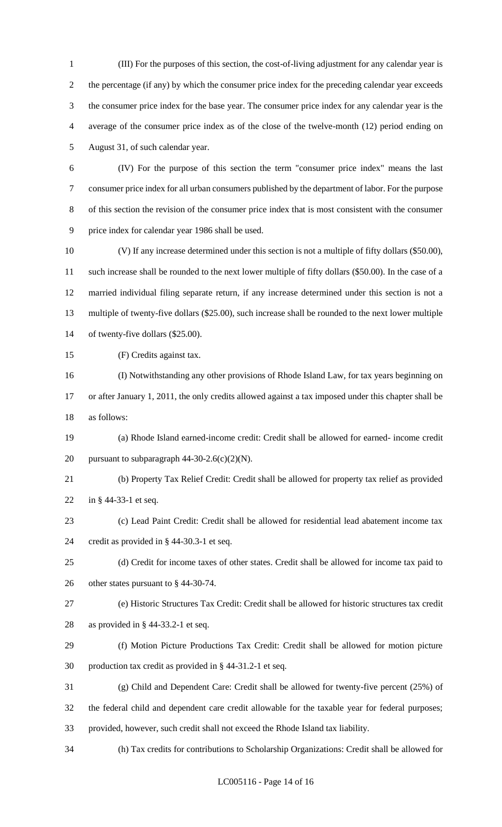(III) For the purposes of this section, the cost-of-living adjustment for any calendar year is the percentage (if any) by which the consumer price index for the preceding calendar year exceeds the consumer price index for the base year. The consumer price index for any calendar year is the average of the consumer price index as of the close of the twelve-month (12) period ending on August 31, of such calendar year.

- (IV) For the purpose of this section the term "consumer price index" means the last consumer price index for all urban consumers published by the department of labor. For the purpose of this section the revision of the consumer price index that is most consistent with the consumer price index for calendar year 1986 shall be used.
- (V) If any increase determined under this section is not a multiple of fifty dollars (\$50.00), such increase shall be rounded to the next lower multiple of fifty dollars (\$50.00). In the case of a married individual filing separate return, if any increase determined under this section is not a multiple of twenty-five dollars (\$25.00), such increase shall be rounded to the next lower multiple of twenty-five dollars (\$25.00).
- (F) Credits against tax.
- (I) Notwithstanding any other provisions of Rhode Island Law, for tax years beginning on or after January 1, 2011, the only credits allowed against a tax imposed under this chapter shall be as follows:
- (a) Rhode Island earned-income credit: Credit shall be allowed for earned- income credit 20 pursuant to subparagraph  $44-30-2.6(c)(2)(N)$ .
- (b) Property Tax Relief Credit: Credit shall be allowed for property tax relief as provided in § 44-33-1 et seq.
- (c) Lead Paint Credit: Credit shall be allowed for residential lead abatement income tax credit as provided in § 44-30.3-1 et seq.
- (d) Credit for income taxes of other states. Credit shall be allowed for income tax paid to other states pursuant to § 44-30-74.
- (e) Historic Structures Tax Credit: Credit shall be allowed for historic structures tax credit
- as provided in § 44-33.2-1 et seq.
- (f) Motion Picture Productions Tax Credit: Credit shall be allowed for motion picture production tax credit as provided in § 44-31.2-1 et seq.
- (g) Child and Dependent Care: Credit shall be allowed for twenty-five percent (25%) of the federal child and dependent care credit allowable for the taxable year for federal purposes; provided, however, such credit shall not exceed the Rhode Island tax liability.
- (h) Tax credits for contributions to Scholarship Organizations: Credit shall be allowed for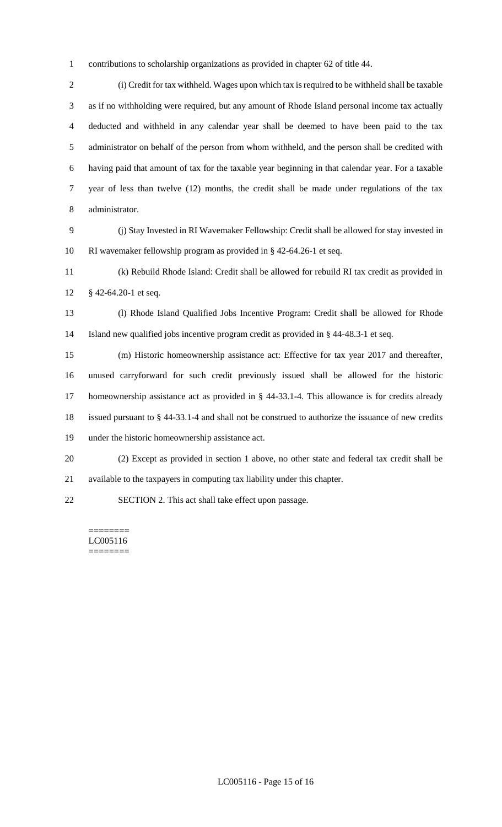contributions to scholarship organizations as provided in chapter 62 of title 44.

 (i) Credit for tax withheld. Wages upon which tax is required to be withheld shall be taxable as if no withholding were required, but any amount of Rhode Island personal income tax actually deducted and withheld in any calendar year shall be deemed to have been paid to the tax administrator on behalf of the person from whom withheld, and the person shall be credited with having paid that amount of tax for the taxable year beginning in that calendar year. For a taxable year of less than twelve (12) months, the credit shall be made under regulations of the tax administrator.

 (j) Stay Invested in RI Wavemaker Fellowship: Credit shall be allowed for stay invested in RI wavemaker fellowship program as provided in § 42-64.26-1 et seq.

 (k) Rebuild Rhode Island: Credit shall be allowed for rebuild RI tax credit as provided in § 42-64.20-1 et seq.

 (l) Rhode Island Qualified Jobs Incentive Program: Credit shall be allowed for Rhode Island new qualified jobs incentive program credit as provided in § 44-48.3-1 et seq.

 (m) Historic homeownership assistance act: Effective for tax year 2017 and thereafter, unused carryforward for such credit previously issued shall be allowed for the historic homeownership assistance act as provided in § 44-33.1-4. This allowance is for credits already issued pursuant to § 44-33.1-4 and shall not be construed to authorize the issuance of new credits under the historic homeownership assistance act.

 (2) Except as provided in section 1 above, no other state and federal tax credit shall be available to the taxpayers in computing tax liability under this chapter.

SECTION 2. This act shall take effect upon passage.

======== LC005116 ========